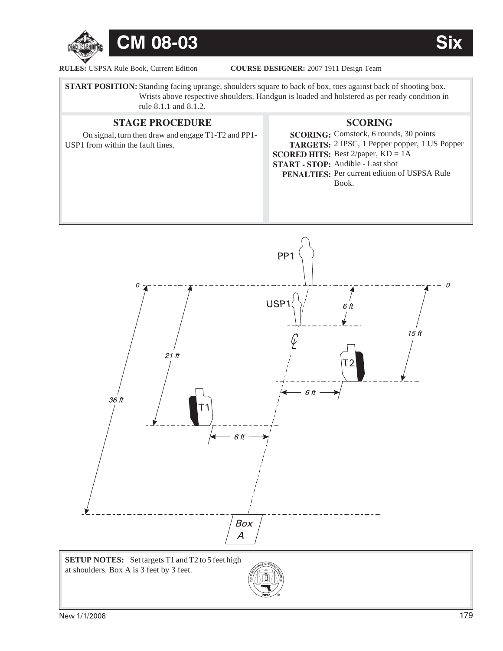

**RULES: USPSA Rule Book, Current Edition** 

COURSE DESIGNER: 2007 1911 Design Team

**START POSITION:** Standing facing uprange, shoulders square to back of box, toes against back of shooting box. Wrists above respective shoulders. Handgun is loaded and holstered as per ready condition in rule 8.1.1 and 8.1.2.

## **STAGE PROCEDURE SCORING SCORING:** Comstock, 6 rounds, 30 points **TARGETS:** 2 IPSC, 1 Pepper popper, 1 US Popper **SCORED HITS:** Best 2/paper, KD = 1A **START - STOP:** Audible - Last shot **PENALTIES:** Per current edition of USPSA Rule Book. On signal, turn then draw and engage T1-T2 and PP1- USP1 from within the fault lines.



**©**

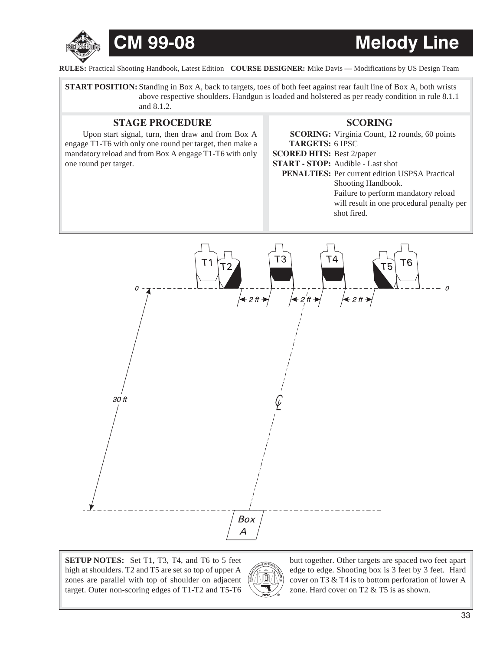

# **CM 99-08 Melody Line**

**RULES:** Practical Shooting Handbook, Latest Edition COURSE DESIGNER: Mike Davis — Modifications by US Design Team

**START POSITION:** Standing in Box A, back to targets, toes of both feet against rear fault line of Box A, both wrists above respective shoulders. Handgun is loaded and holstered as per ready condition in rule 8.1.1 and 8.1.2.

### **STAGE PROCEDURE SCORING**

Upon start signal, turn, then draw and from Box A engage T1-T6 with only one round per target, then make a mandatory reload and from Box A engage T1-T6 with only one round per target.

**SCORING:** Virginia Count, 12 rounds, 60 points **TARGETS:** 6 IPSC **SCORED HITS:** Best 2/paper **START - STOP:** Audible - Last shot PENALTIES: Per current edition USPSA Practical Shooting Handbook. Failure to perform mandatory reload will result in one procedural penalty per shot fired.



SETUP NOTES: Set T1, T3, T4, and T6 to 5 feet high at shoulders. T2 and T5 are set so top of upper A zones are parallel with top of shoulder on adjacent target. Outer non-scoring edges of T1-T2 and T5-T6



butt together. Other targets are spaced two feet apart edge to edge. Shooting box is 3 feet by 3 feet. Hard cover on T3 & T4 is to bottom perforation of lower A zone. Hard cover on T2 & T5 is as shown.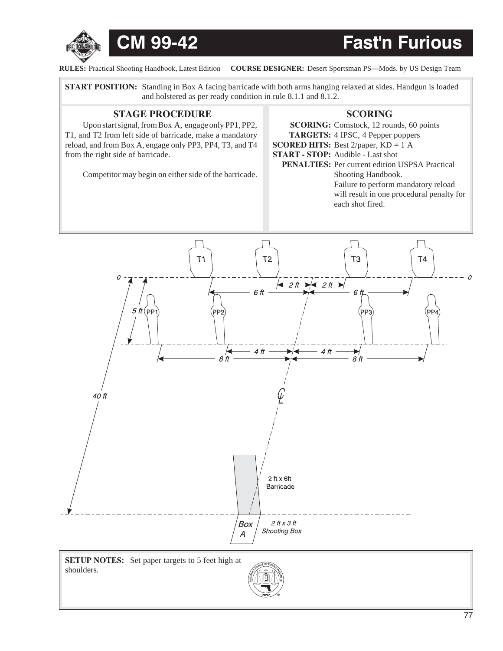



**RULES:** Practical Shooting Handbook, Latest Edition COURSE DESIGNER: Desert Sportsman PS-Mods. by US Design Team

**START POSITION:** Standing in Box A facing barricade with both arms hanging relaxed at sides. Handgun is loaded and holstered as per ready condition in rule 8.1.1 and 8.1.2.

### **STAGE PROCEDURE SCORING**

Upon start signal, from Box A, engage only PP1, PP2, T1, and T2 from left side of barricade, make a mandatory reload, and from Box A, engage only PP3, PP4, T3, and T4 from the right side of barricade.

Competitor may begin on either side of the barricade.

### **SCORING:** Comstock, 12 rounds, 60 points **TARGETS:** 4 IPSC, 4 Pepper poppers **SCORED HITS:** Best 2/paper, KD = 1 A **START - STOP:** Audible - Last shot **PENALTIES:** Per current edition USPSA Practical Shooting Handbook. Failure to perform mandatory reload will result in one procedural penalty for each shot fired.



shoulders.